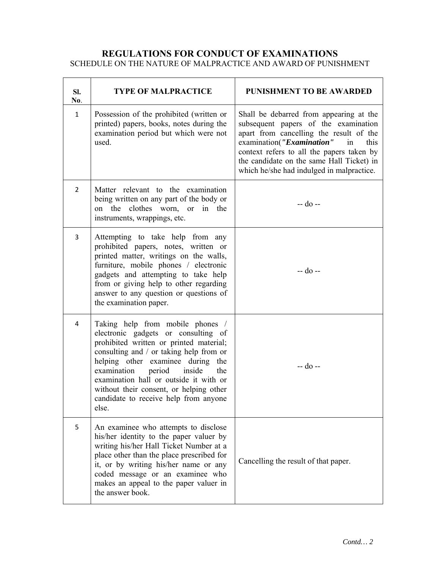## **REGULATIONS FOR CONDUCT OF EXAMINATIONS**

SCHEDULE ON THE NATURE OF MALPRACTICE AND AWARD OF PUNISHMENT

| SI.<br>No.     | <b>TYPE OF MALPRACTICE</b>                                                                                                                                                                                                                                                                                                                                                       | <b>PUNISHMENT TO BE AWARDED</b>                                                                                                                                                                                                                                                                              |
|----------------|----------------------------------------------------------------------------------------------------------------------------------------------------------------------------------------------------------------------------------------------------------------------------------------------------------------------------------------------------------------------------------|--------------------------------------------------------------------------------------------------------------------------------------------------------------------------------------------------------------------------------------------------------------------------------------------------------------|
| $\mathbf{1}$   | Possession of the prohibited (written or<br>printed) papers, books, notes during the<br>examination period but which were not<br>used.                                                                                                                                                                                                                                           | Shall be debarred from appearing at the<br>subsequent papers of the examination<br>apart from cancelling the result of the<br>examination("Examination"<br>this<br>in<br>context refers to all the papers taken by<br>the candidate on the same Hall Ticket) in<br>which he/she had indulged in malpractice. |
| $\overline{2}$ | Matter relevant to the examination<br>being written on any part of the body or<br>on the clothes worn, or in the<br>instruments, wrappings, etc.                                                                                                                                                                                                                                 | -- do --                                                                                                                                                                                                                                                                                                     |
| 3              | Attempting to take help from any<br>prohibited papers, notes, written or<br>printed matter, writings on the walls,<br>furniture, mobile phones / electronic<br>gadgets and attempting to take help<br>from or giving help to other regarding<br>answer to any question or questions of<br>the examination paper.                                                                 | $-$ do $-$                                                                                                                                                                                                                                                                                                   |
| 4              | Taking help from mobile phones /<br>electronic gadgets or consulting of<br>prohibited written or printed material;<br>consulting and / or taking help from or<br>helping other examinee during the<br>examination period<br>inside<br>the<br>examination hall or outside it with or<br>without their consent, or helping other<br>candidate to receive help from anyone<br>else. | -- do --                                                                                                                                                                                                                                                                                                     |
| 5              | An examinee who attempts to disclose<br>his/her identity to the paper valuer by<br>writing his/her Hall Ticket Number at a<br>place other than the place prescribed for<br>it, or by writing his/her name or any<br>coded message or an examinee who<br>makes an appeal to the paper valuer in<br>the answer book.                                                               | Cancelling the result of that paper.                                                                                                                                                                                                                                                                         |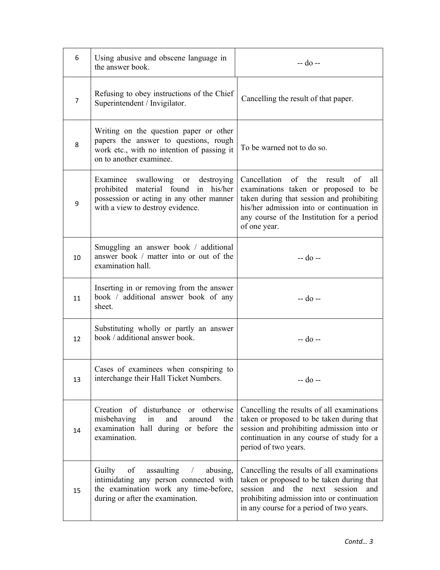| 6              | Using abusive and obscene language in<br>the answer book.                                                                                                                   | -- do --                                                                                                                                                                                                                             |
|----------------|-----------------------------------------------------------------------------------------------------------------------------------------------------------------------------|--------------------------------------------------------------------------------------------------------------------------------------------------------------------------------------------------------------------------------------|
| $\overline{7}$ | Refusing to obey instructions of the Chief<br>Superintendent / Invigilator.                                                                                                 | Cancelling the result of that paper.                                                                                                                                                                                                 |
| 8              | Writing on the question paper or other<br>papers the answer to questions, rough<br>work etc., with no intention of passing it<br>on to another examinee.                    | To be warned not to do so.                                                                                                                                                                                                           |
| 9              | Examinee swallowing or destroying<br>prohibited material found<br>in his/her<br>possession or acting in any other manner<br>with a view to destroy evidence.                | Cancellation of the result of<br>all<br>examinations taken or proposed to be<br>taken during that session and prohibiting<br>his/her admission into or continuation in<br>any course of the Institution for a period<br>of one year. |
| 10             | Smuggling an answer book / additional<br>answer book / matter into or out of the<br>examination hall.                                                                       | -- do --                                                                                                                                                                                                                             |
| 11             | Inserting in or removing from the answer<br>book / additional answer book of any<br>sheet.                                                                                  | -- do --                                                                                                                                                                                                                             |
| 12             | Substituting wholly or partly an answer<br>book / additional answer book.                                                                                                   | -- do --                                                                                                                                                                                                                             |
| 13             | Cases of examinees when conspiring to<br>interchange their Hall Ticket Numbers.                                                                                             | -- do --                                                                                                                                                                                                                             |
| 14             | Creation of disturbance or otherwise<br>misbehaving<br>in<br>and<br>around<br>the<br>examination hall during or before the<br>examination.                                  | Cancelling the results of all examinations<br>taken or proposed to be taken during that<br>session and prohibiting admission into or<br>continuation in any course of study for a<br>period of two years.                            |
| 15             | Guilty<br>of<br>assaulting<br>abusing,<br>$\sqrt{2}$<br>intimidating any person connected with<br>the examination work any time-before,<br>during or after the examination. | Cancelling the results of all examinations<br>taken or proposed to be taken during that<br>session<br>and the next session and<br>prohibiting admission into or continuation<br>in any course for a period of two years.             |